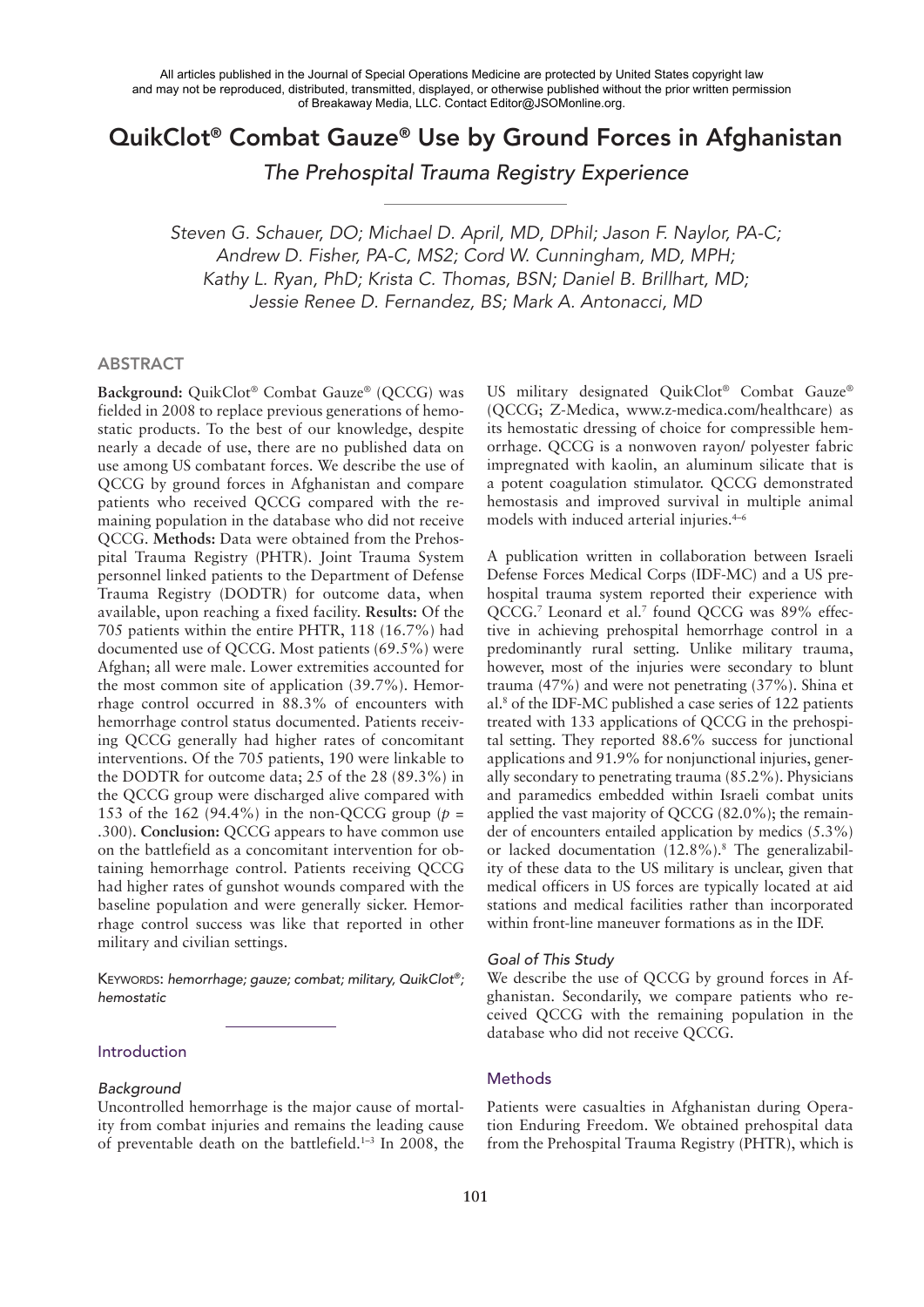# QuikClot® Combat Gauze® Use by Ground Forces in Afghanistan

*The Prehospital Trauma Registry Experience*

*Steven G. Schauer, DO; Michael D. April, MD, DPhil; Jason F. Naylor, PA-C; Andrew D. Fisher, PA-C, MS2; Cord W. Cunningham, MD, MPH; Kathy L. Ryan, PhD; Krista C. Thomas, BSN; Daniel B. Brillhart, MD; Jessie Renee D. Fernandez, BS; Mark A. Antonacci, MD*

#### ABSTRACT

**Background:** QuikClot® Combat Gauze® (QCCG) was fielded in 2008 to replace previous generations of hemostatic products. To the best of our knowledge, despite nearly a decade of use, there are no published data on use among US combatant forces. We describe the use of QCCG by ground forces in Afghanistan and compare patients who received QCCG compared with the remaining population in the database who did not receive QCCG. **Methods:** Data were obtained from the Prehospital Trauma Registry (PHTR). Joint Trauma System personnel linked patients to the Department of Defense Trauma Registry (DODTR) for outcome data, when available, upon reaching a fixed facility. **Results:** Of the 705 patients within the entire PHTR, 118 (16.7%) had documented use of QCCG. Most patients (69.5%) were Afghan; all were male. Lower extremities accounted for the most common site of application (39.7%). Hemorrhage control occurred in 88.3% of encounters with hemorrhage control status documented. Patients receiving QCCG generally had higher rates of concomitant interventions. Of the 705 patients, 190 were linkable to the DODTR for outcome data; 25 of the 28 (89.3%) in the QCCG group were discharged alive compared with 153 of the 162 (94.4%) in the non-QCCG group ( $p =$ .300). **Conclusion:** QCCG appears to have common use on the battlefield as a concomitant intervention for obtaining hemorrhage control. Patients receiving QCCG had higher rates of gunshot wounds compared with the baseline population and were generally sicker. Hemorrhage control success was like that reported in other military and civilian settings.

KEYWORDS: *hemorrhage; gauze; combat; military, QuikClot®; hemostatic*

### Introduction

#### *Background*

Uncontrolled hemorrhage is the major cause of mortality from combat injuries and remains the leading cause of preventable death on the battlefield.1–3 In 2008, the US military designated QuikClot® Combat Gauze® (QCCG; Z-Medica, www.z-medica.com/healthcare) as its hemostatic dressing of choice for compressible hemorrhage. QCCG is a nonwoven rayon/ polyester fabric impregnated with kaolin, an aluminum silicate that is a potent coagulation stimulator. QCCG demonstrated hemostasis and improved survival in multiple animal models with induced arterial injuries.<sup>4-6</sup>

A publication written in collaboration between Israeli Defense Forces Medical Corps (IDF-MC) and a US prehospital trauma system reported their experience with QCCG.<sup>7</sup> Leonard et al.<sup>7</sup> found QCCG was 89% effective in achieving prehospital hemorrhage control in a predominantly rural setting. Unlike military trauma, however, most of the injuries were secondary to blunt trauma (47%) and were not penetrating (37%). Shina et al.8 of the IDF-MC published a case series of 122 patients treated with 133 applications of QCCG in the prehospital setting. They reported 88.6% success for junctional applications and 91.9% for nonjunctional injuries, generally secondary to penetrating trauma (85.2%). Physicians and paramedics embedded within Israeli combat units applied the vast majority of QCCG (82.0%); the remainder of encounters entailed application by medics (5.3%) or lacked documentation (12.8%).8 The generalizability of these data to the US military is unclear, given that medical officers in US forces are typically located at aid stations and medical facilities rather than incorporated within front-line maneuver formations as in the IDF.

#### *Goal of This Study*

We describe the use of QCCG by ground forces in Afghanistan. Secondarily, we compare patients who received QCCG with the remaining population in the database who did not receive QCCG.

#### **Methods**

Patients were casualties in Afghanistan during Operation Enduring Freedom. We obtained prehospital data from the Prehospital Trauma Registry (PHTR), which is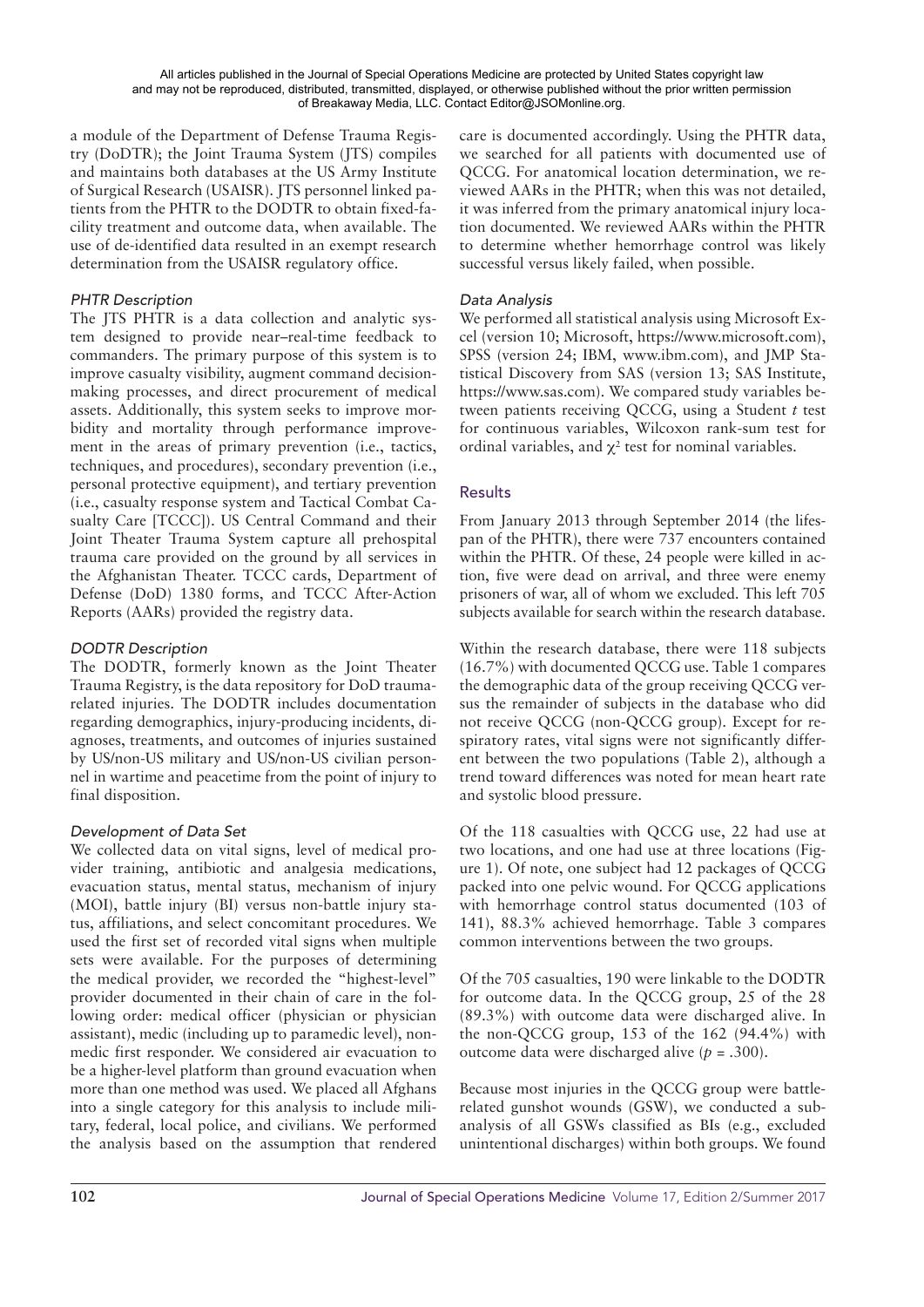a module of the Department of Defense Trauma Registry (DoDTR); the Joint Trauma System (JTS) compiles and maintains both databases at the US Army Institute of Surgical Research (USAISR). JTS personnel linked patients from the PHTR to the DODTR to obtain fixed-facility treatment and outcome data, when available. The use of de-identified data resulted in an exempt research determination from the USAISR regulatory office.

# *PHTR Description*

The JTS PHTR is a data collection and analytic system designed to provide near–real-time feedback to commanders. The primary purpose of this system is to improve casualty visibility, augment command decisionmaking processes, and direct procurement of medical assets. Additionally, this system seeks to improve morbidity and mortality through performance improvement in the areas of primary prevention (i.e., tactics, techniques, and procedures), secondary prevention (i.e., personal protective equipment), and tertiary prevention (i.e., casualty response system and Tactical Combat Casualty Care [TCCC]). US Central Command and their Joint Theater Trauma System capture all prehospital trauma care provided on the ground by all services in the Afghanistan Theater. TCCC cards, Department of Defense (DoD) 1380 forms, and TCCC After-Action Reports (AARs) provided the registry data.

# *DODTR Description*

The DODTR, formerly known as the Joint Theater Trauma Registry, is the data repository for DoD traumarelated injuries. The DODTR includes documentation regarding demographics, injury-producing incidents, diagnoses, treatments, and outcomes of injuries sustained by US/non-US military and US/non-US civilian personnel in wartime and peacetime from the point of injury to final disposition.

# *Development of Data Set*

We collected data on vital signs, level of medical provider training, antibiotic and analgesia medications, evacuation status, mental status, mechanism of injury (MOI), battle injury (BI) versus non-battle injury status, affiliations, and select concomitant procedures. We used the first set of recorded vital signs when multiple sets were available. For the purposes of determining the medical provider, we recorded the "highest-level" provider documented in their chain of care in the following order: medical officer (physician or physician assistant), medic (including up to paramedic level), nonmedic first responder. We considered air evacuation to be a higher-level platform than ground evacuation when more than one method was used. We placed all Afghans into a single category for this analysis to include military, federal, local police, and civilians. We performed the analysis based on the assumption that rendered care is documented accordingly. Using the PHTR data, we searched for all patients with documented use of QCCG. For anatomical location determination, we reviewed AARs in the PHTR; when this was not detailed, it was inferred from the primary anatomical injury location documented. We reviewed AARs within the PHTR to determine whether hemorrhage control was likely successful versus likely failed, when possible.

# *Data Analysis*

We performed all statistical analysis using Microsoft Excel (version 10; Microsoft, https://www.microsoft.com), SPSS (version 24; IBM, www.ibm.com), and JMP Statistical Discovery from SAS (version 13; SAS Institute, https://www.sas.com). We compared study variables between patients receiving QCCG, using a Student *t* test for continuous variables, Wilcoxon rank-sum test for ordinal variables, and  $\chi^2$  test for nominal variables.

# **Results**

From January 2013 through September 2014 (the lifespan of the PHTR), there were 737 encounters contained within the PHTR. Of these, 24 people were killed in action, five were dead on arrival, and three were enemy prisoners of war, all of whom we excluded. This left 705 subjects available for search within the research database.

Within the research database, there were 118 subjects (16.7%) with documented QCCG use. Table 1 compares the demographic data of the group receiving QCCG versus the remainder of subjects in the database who did not receive QCCG (non-QCCG group). Except for respiratory rates, vital signs were not significantly different between the two populations (Table 2), although a trend toward differences was noted for mean heart rate and systolic blood pressure.

Of the 118 casualties with QCCG use, 22 had use at two locations, and one had use at three locations (Figure 1). Of note, one subject had 12 packages of QCCG packed into one pelvic wound. For QCCG applications with hemorrhage control status documented (103 of 141), 88.3% achieved hemorrhage. Table 3 compares common interventions between the two groups.

Of the 705 casualties, 190 were linkable to the DODTR for outcome data. In the QCCG group, 25 of the 28 (89.3%) with outcome data were discharged alive. In the non-QCCG group, 153 of the 162 (94.4%) with outcome data were discharged alive (*p* = .300).

Because most injuries in the QCCG group were battlerelated gunshot wounds (GSW), we conducted a subanalysis of all GSWs classified as BIs (e.g., excluded unintentional discharges) within both groups. We found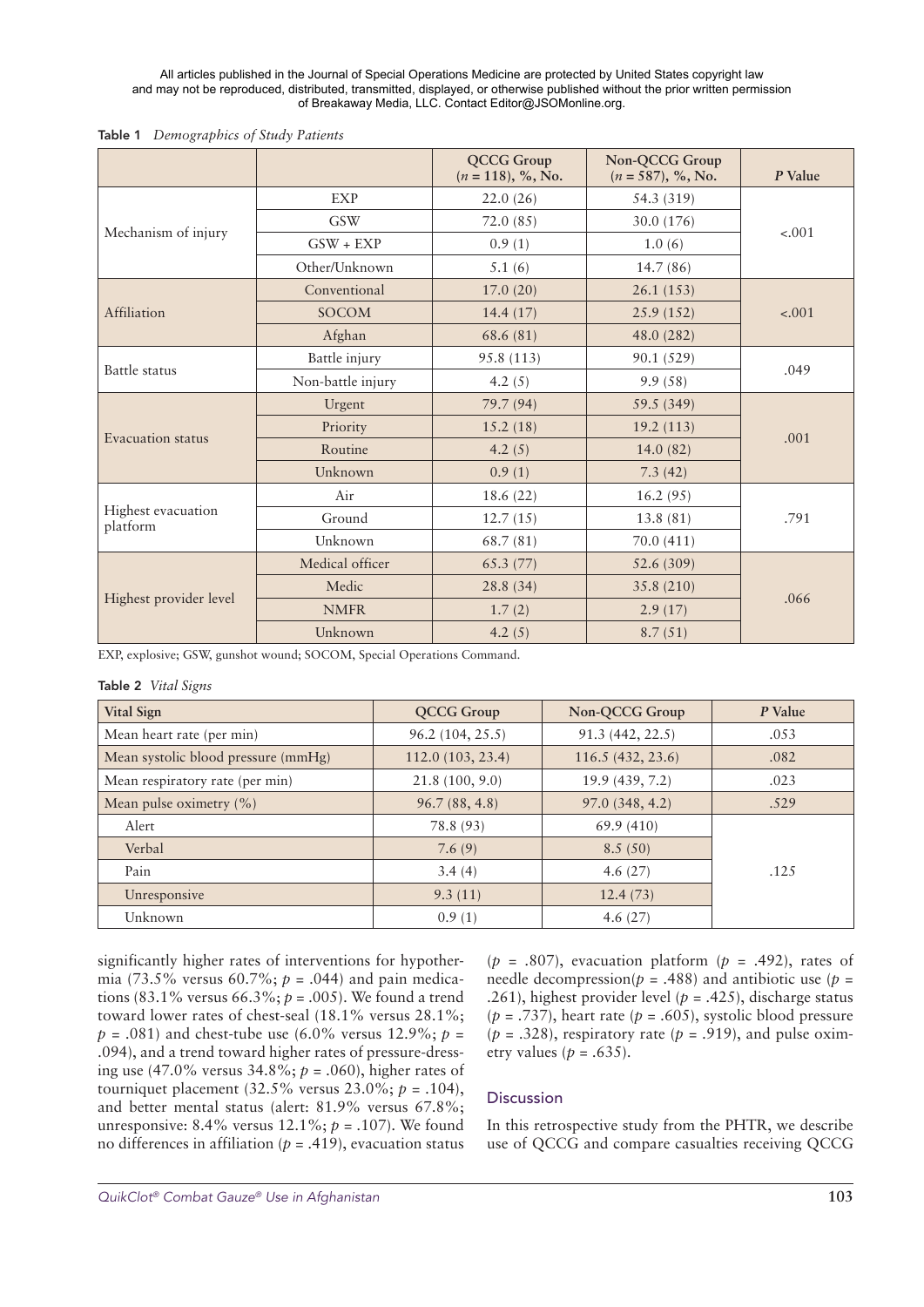All articles published in the Journal of Special Operations Medicine are protected by United States copyright law and may not be reproduced, distributed, transmitted, displayed, or otherwise published without the prior written permission of Breakaway Media, LLC. Contact Editor@JSOMonline.org.

| Table 1 Demographics of Study Patients |  |
|----------------------------------------|--|
|----------------------------------------|--|

|                                |                   | <b>QCCG Group</b><br>$(n = 118), %$ , No. | Non-QCCG Group<br>$(n = 587), %$ , No. | P Value |  |
|--------------------------------|-------------------|-------------------------------------------|----------------------------------------|---------|--|
| Mechanism of injury            | <b>EXP</b>        | 22.0(26)                                  | 54.3 (319)                             |         |  |
|                                | <b>GSW</b>        | 72.0 (85)                                 | 30.0 (176)                             | $-.001$ |  |
|                                | $GSW + EXP$       | 0.9(1)                                    | 1.0(6)                                 |         |  |
|                                | Other/Unknown     | 5.1(6)                                    | 14.7(86)                               |         |  |
|                                | Conventional      | 17.0(20)                                  | 26.1(153)                              |         |  |
| Affiliation                    | <b>SOCOM</b>      | 14.4(17)                                  | 25.9(152)                              | $-.001$ |  |
|                                | Afghan            | 68.6 (81)                                 | 48.0 (282)                             |         |  |
| Battle status                  | Battle injury     | 95.8 (113)                                | 90.1 (529)                             | .049    |  |
|                                | Non-battle injury | 4.2 $(5)$                                 | 9.9(58)                                |         |  |
| Evacuation status              | Urgent            | 79.7 (94)                                 | 59.5 (349)                             |         |  |
|                                | Priority          | 15.2(18)                                  | 19.2(113)                              | .001    |  |
|                                | Routine           | 4.2 $(5)$                                 | 14.0(82)                               |         |  |
|                                | Unknown           | 0.9(1)                                    | 7.3(42)                                |         |  |
| Highest evacuation<br>platform | Air               | 18.6(22)                                  | 16.2(95)                               |         |  |
|                                | Ground            | 12.7(15)                                  | 13.8(81)                               | .791    |  |
|                                | Unknown           | 68.7 (81)                                 | 70.0 (411)                             |         |  |
| Highest provider level         | Medical officer   | 65.3(77)                                  | 52.6 (309)                             |         |  |
|                                | Medic             | 28.8(34)                                  | 35.8 (210)                             | .066    |  |
|                                | <b>NMFR</b>       | 1.7(2)                                    | 2.9(17)                                |         |  |
|                                | Unknown           | 4.2(5)                                    | 8.7(51)                                |         |  |

EXP, explosive; GSW, gunshot wound; SOCOM, Special Operations Command.

#### Table 2 *Vital Signs*

| <b>Vital Sign</b>                   | <b>QCCG Group</b> | Non-QCCG Group   | P Value |
|-------------------------------------|-------------------|------------------|---------|
| Mean heart rate (per min)           | 96.2 (104, 25.5)  | 91.3 (442, 22.5) | .053    |
| Mean systolic blood pressure (mmHg) | 112.0(103, 23.4)  | 116.5(432, 23.6) | .082    |
| Mean respiratory rate (per min)     | 21.8 (100, 9.0)   | 19.9 (439, 7.2)  | .023    |
| Mean pulse oximetry $(\% )$         | 96.7(88, 4.8)     | 97.0(348, 4.2)   | .529    |
| Alert                               | 78.8 (93)         | 69.9(410)        |         |
| Verbal                              | 7.6(9)            | 8.5(50)          |         |
| Pain                                | 3.4(4)            | 4.6 $(27)$       | .125    |
| Unresponsive                        | 9.3(11)           | 12.4(73)         |         |
| Unknown                             | 0.9(1)            | 4.6 $(27)$       |         |

significantly higher rates of interventions for hypothermia (73.5% versus 60.7%; *p* = .044) and pain medications (83.1% versus 66.3%; *p* = .005). We found a trend toward lower rates of chest-seal (18.1% versus 28.1%;  $p = .081$ ) and chest-tube use (6.0% versus 12.9%;  $p =$ .094), and a trend toward higher rates of pressure-dressing use (47.0% versus 34.8%; *p* = .060), higher rates of tourniquet placement (32.5% versus 23.0%; *p* = .104), and better mental status (alert: 81.9% versus 67.8%; unresponsive: 8.4% versus 12.1%; *p* = .107). We found no differences in affiliation ( $p = .419$ ), evacuation status

(*p* = .807), evacuation platform (*p* = .492), rates of needle decompression( $p = .488$ ) and antibiotic use ( $p =$ .261), highest provider level ( $p = .425$ ), discharge status ( $p = .737$ ), heart rate ( $p = .605$ ), systolic blood pressure  $(p = .328)$ , respiratory rate  $(p = .919)$ , and pulse oximetry values ( $p = .635$ ).

### Discussion

In this retrospective study from the PHTR, we describe use of QCCG and compare casualties receiving QCCG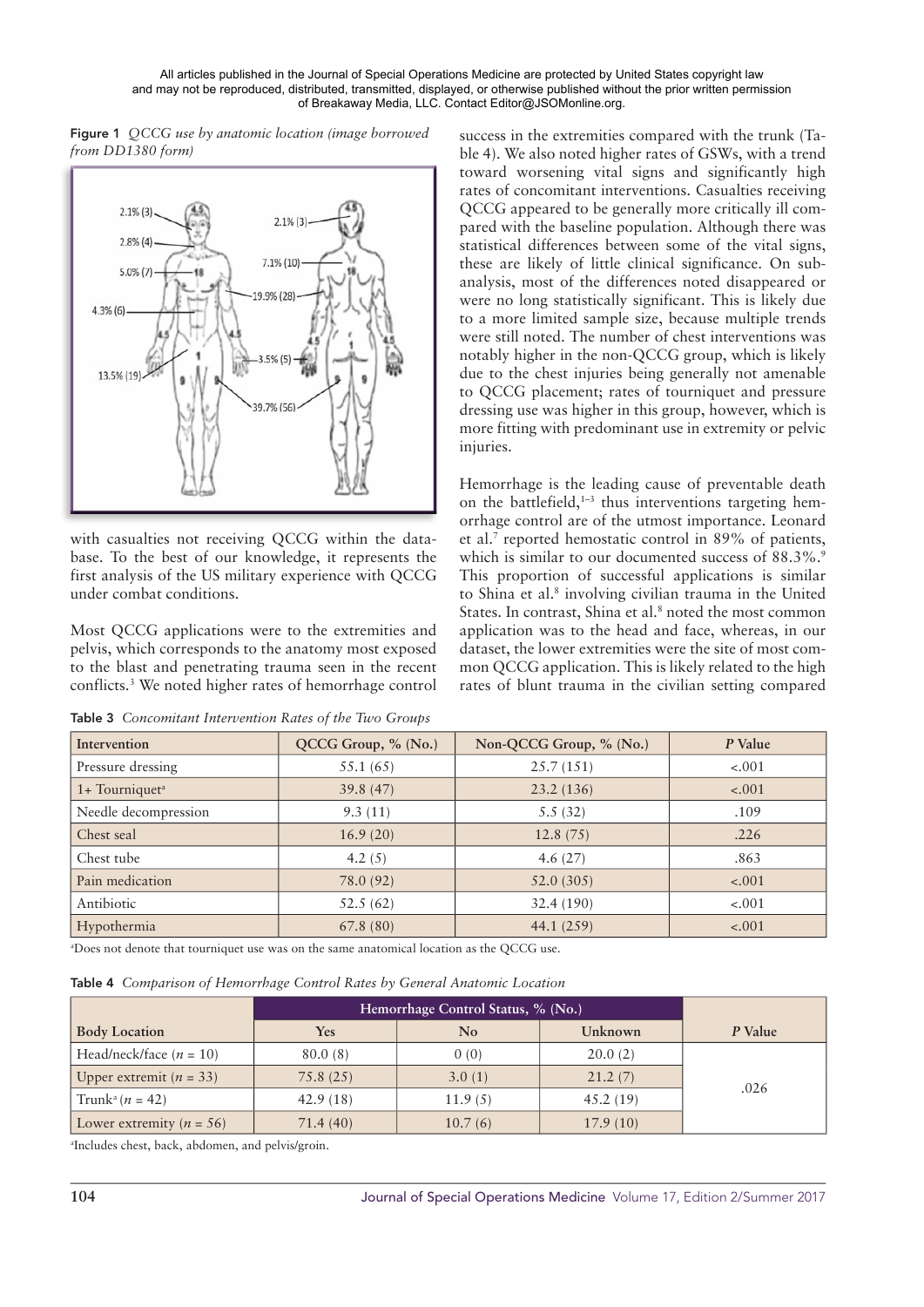All articles published in the Journal of Special Operations Medicine are protected by United States copyright law and may not be reproduced, distributed, transmitted, displayed, or otherwise published without the prior written permission of Breakaway Media, LLC. Contact Editor@JSOMonline.org.

Figure 1 OCCG use by anatomic location (image borrowed from DD1380 form)



with casualties not receiving QCCG within the database. To the best of our knowledge, it represents the first analysis of the US military experience with OCCG under combat conditions.

Most QCCG applications were to the extremities and pelvis, which corresponds to the anatomy most exposed to the blast and penetrating trauma seen in the recent conflicts.<sup>3</sup> We noted higher rates of hemorrhage control

Table 3 Concomitant Intervention Rates of the Two Groups

success in the extremities compared with the trunk (Table 4). We also noted higher rates of GSWs, with a trend toward worsening vital signs and significantly high rates of concomitant interventions. Casualties receiving OCCG appeared to be generally more critically ill compared with the baseline population. Although there was statistical differences between some of the vital signs, these are likely of little clinical significance. On subanalysis, most of the differences noted disappeared or were no long statistically significant. This is likely due to a more limited sample size, because multiple trends were still noted. The number of chest interventions was notably higher in the non-QCCG group, which is likely due to the chest injuries being generally not amenable to QCCG placement; rates of tourniquet and pressure dressing use was higher in this group, however, which is more fitting with predominant use in extremity or pelvic injuries.

Hemorrhage is the leading cause of preventable death on the battlefield,<sup>1-3</sup> thus interventions targeting hemorrhage control are of the utmost importance. Leonard et al.<sup>7</sup> reported hemostatic control in 89% of patients. which is similar to our documented success of 88.3%. This proportion of successful applications is similar to Shina et al.<sup>8</sup> involving civilian trauma in the United States. In contrast, Shina et al.<sup>8</sup> noted the most common application was to the head and face, whereas, in our dataset, the lower extremities were the site of most common QCCG application. This is likely related to the high rates of blunt trauma in the civilian setting compared

| Intervention                 | QCCG Group, % (No.) | Non-QCCG Group, % (No.) | P Value |
|------------------------------|---------------------|-------------------------|---------|
| Pressure dressing            | 55.1 (65)           | 25.7(151)               | $-.001$ |
| $1+$ Tourniquet <sup>a</sup> | 39.8(47)            | 23.2(136)               | $-.001$ |
| Needle decompression         | 9.3(11)             | 5.5(32)                 | .109    |
| Chest seal                   | 16.9(20)            | 12.8(75)                | .226    |
| Chest tube                   | 4.2 $(5)$           | 4.6 $(27)$              | .863    |
| Pain medication              | 78.0 (92)           | 52.0(305)               | $-.001$ |
| Antibiotic                   | 52.5(62)            | 32.4(190)               | $-.001$ |
| Hypothermia                  | 67.8(80)            | 44.1(259)               | $-.001$ |

<sup>a</sup>Does not denote that tourniquet use was on the same anatomical location as the QCCG use.

Table 4 Comparison of Hemorrhage Control Rates by General Anatomic Location

|                                     | Hemorrhage Control Status, % (No.) |         |          |         |
|-------------------------------------|------------------------------------|---------|----------|---------|
| <b>Body Location</b>                | Yes                                | No.     | Unknown  | P Value |
| Head/neck/face $(n = 10)$           | 80.0(8)                            | 0(0)    | 20.0(2)  |         |
| Upper extremit ( $n = 33$ )         | 75.8(25)                           | 3.0(1)  | 21.2(7)  |         |
| Trunk <sup>a</sup> ( <i>n</i> = 42) | 42.9(18)                           | 11.9(5) | 45.2(19) | .026    |
| Lower extremity $(n = 56)$          | 71.4(40)                           | 10.7(6) | 17.9(10) |         |

<sup>a</sup>Includes chest, back, abdomen, and pelvis/groin.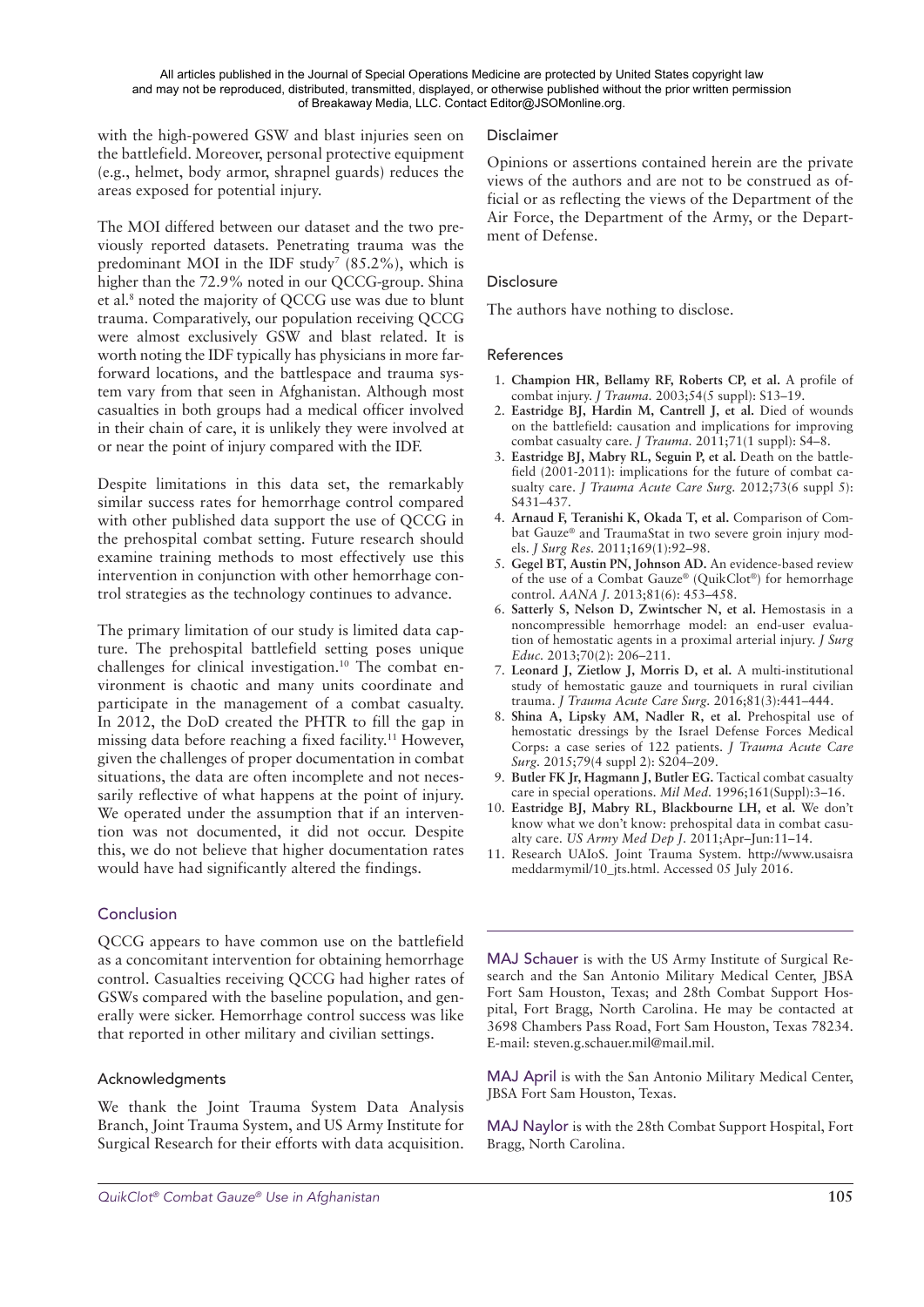with the high-powered GSW and blast injuries seen on the battlefield. Moreover, personal protective equipment (e.g., helmet, body armor, shrapnel guards) reduces the areas exposed for potential injury.

The MOI differed between our dataset and the two previously reported datasets. Penetrating trauma was the predominant MOI in the IDF study<sup>7</sup> (85.2%), which is higher than the 72.9% noted in our QCCG-group. Shina et al.<sup>8</sup> noted the majority of QCCG use was due to blunt trauma. Comparatively, our population receiving QCCG were almost exclusively GSW and blast related. It is worth noting the IDF typically has physicians in more farforward locations, and the battlespace and trauma system vary from that seen in Afghanistan. Although most casualties in both groups had a medical officer involved in their chain of care, it is unlikely they were involved at or near the point of injury compared with the IDF.

Despite limitations in this data set, the remarkably similar success rates for hemorrhage control compared with other published data support the use of QCCG in the prehospital combat setting. Future research should examine training methods to most effectively use this intervention in conjunction with other hemorrhage control strategies as the technology continues to advance.

The primary limitation of our study is limited data capture. The prehospital battlefield setting poses unique challenges for clinical investigation.<sup>10</sup> The combat environment is chaotic and many units coordinate and participate in the management of a combat casualty. In 2012, the DoD created the PHTR to fill the gap in missing data before reaching a fixed facility.11 However, given the challenges of proper documentation in combat situations, the data are often incomplete and not necessarily reflective of what happens at the point of injury. We operated under the assumption that if an intervention was not documented, it did not occur. Despite this, we do not believe that higher documentation rates would have had significantly altered the findings.

## Conclusion

QCCG appears to have common use on the battlefield as a concomitant intervention for obtaining hemorrhage control. Casualties receiving QCCG had higher rates of GSWs compared with the baseline population, and generally were sicker. Hemorrhage control success was like that reported in other military and civilian settings.

### Acknowledgments

We thank the Joint Trauma System Data Analysis Branch, Joint Trauma System, and US Army Institute for Surgical Research for their efforts with data acquisition.

### Disclaimer

Opinions or assertions contained herein are the private views of the authors and are not to be construed as official or as reflecting the views of the Department of the Air Force, the Department of the Army, or the Department of Defense.

### **Disclosure**

The authors have nothing to disclose.

### References

- 1. **Champion HR, Bellamy RF, Roberts CP, et al.** A profile of combat injury. *J Trauma.* 2003;54(5 suppl): S13–19.
- 2. **Eastridge BJ, Hardin M, Cantrell J, et al.** Died of wounds on the battlefield: causation and implications for improving combat casualty care. *J Trauma.* 2011;71(1 suppl): S4–8.
- 3. **Eastridge BJ, Mabry RL, Seguin P, et al.** Death on the battlefield (2001-2011): implications for the future of combat casualty care. *J Trauma Acute Care Surg.* 2012;73(6 suppl 5): S431–437.
- 4. **Arnaud F, Teranishi K, Okada T, et al.** Comparison of Combat Gauze® and TraumaStat in two severe groin injury models. *J Surg Res.* 2011;169(1):92–98.
- 5. **Gegel BT, Austin PN, Johnson AD.** An evidence-based review of the use of a Combat Gauze® (QuikClot®) for hemorrhage control. *AANA J.* 2013;81(6): 453–458.
- 6. **Satterly S, Nelson D, Zwintscher N, et al.** Hemostasis in a noncompressible hemorrhage model: an end-user evaluation of hemostatic agents in a proximal arterial injury. *J Surg Educ.* 2013;70(2): 206–211.
- 7. **Leonard J, Zietlow J, Morris D, et al.** A multi-institutional study of hemostatic gauze and tourniquets in rural civilian trauma. *J Trauma Acute Care Surg.* 2016;81(3):441–444.
- 8. **Shina A, Lipsky AM, Nadler R, et al.** Prehospital use of hemostatic dressings by the Israel Defense Forces Medical Corps: a case series of 122 patients. *J Trauma Acute Care Surg.* 2015;79(4 suppl 2): S204–209.
- 9. **Butler FK Jr, Hagmann J, Butler EG.** Tactical combat casualty care in special operations. *Mil Med.* 1996;161(Suppl):3–16.
- 10. **Eastridge BJ, Mabry RL, Blackbourne LH, et al.** We don't know what we don't know: prehospital data in combat casualty care. *US Army Med Dep J.* 2011;Apr–Jun:11–14.
- 11. Research UAIoS. Joint Trauma System. http://www.usaisra meddarmymil/10\_jts.html. Accessed 05 July 2016.

MAJ Schauer is with the US Army Institute of Surgical Research and the San Antonio Military Medical Center, JBSA Fort Sam Houston, Texas; and 28th Combat Support Hospital, Fort Bragg, North Carolina. He may be contacted at 3698 Chambers Pass Road, Fort Sam Houston, Texas 78234. E-mail: steven.g.schauer.mil@mail.mil.

MAJ April is with the San Antonio Military Medical Center, JBSA Fort Sam Houston, Texas.

MAJ Naylor is with the 28th Combat Support Hospital, Fort Bragg, North Carolina.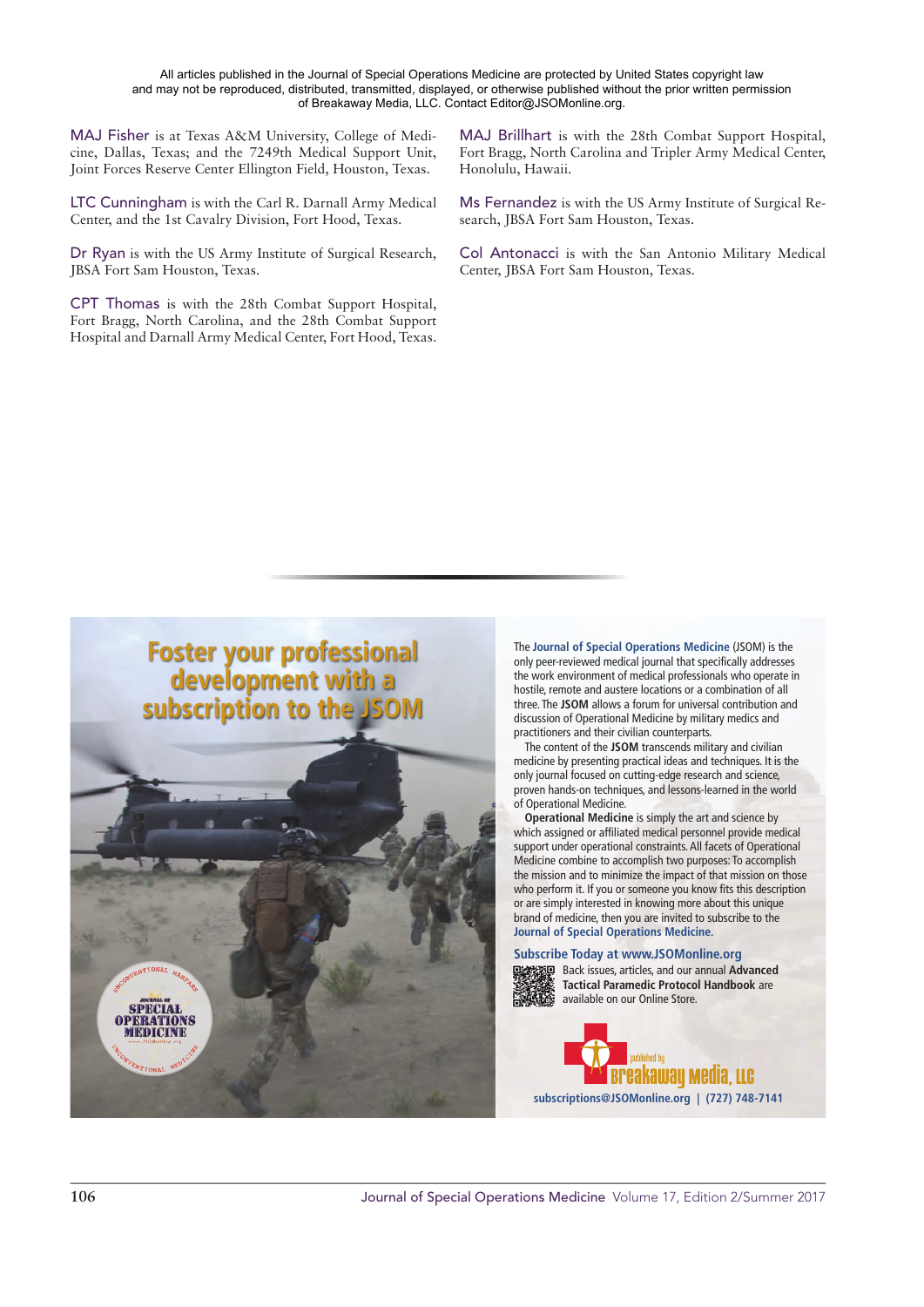All articles published in the Journal of Special Operations Medicine are protected by United States copyright law and may not be reproduced, distributed, transmitted, displayed, or otherwise published without the prior written permission of Breakaway Media, LLC. Contact Editor@JSOMonline.org.

MAJ Fisher is at Texas A&M University, College of Medicine, Dallas, Texas; and the 7249th Medical Support Unit, Joint Forces Reserve Center Ellington Field, Houston, Texas.

LTC Cunningham is with the Carl R. Darnall Army Medical Center, and the 1st Cavalry Division, Fort Hood, Texas.

Dr Ryan is with the US Army Institute of Surgical Research, **IBSA** Fort Sam Houston, Texas.

CPT Thomas is with the 28th Combat Support Hospital, Fort Bragg, North Carolina, and the 28th Combat Support Hospital and Darnall Army Medical Center, Fort Hood, Texas. MAJ Brillhart is with the 28th Combat Support Hospital, Fort Bragg, North Carolina and Tripler Army Medical Center, Honolulu, Hawaii.

Ms Fernandez is with the US Army Institute of Surgical Research, JBSA Fort Sam Houston, Texas.

Col Antonacci is with the San Antonio Military Medical Center, JBSA Fort Sam Houston, Texas.



The Journal of Special Operations Medicine (JSOM) is the only peer-reviewed medical journal that specifically addresses the work environment of medical professionals who operate in hostile, remote and austere locations or a combination of all three. The JSOM allows a forum for universal contribution and discussion of Operational Medicine by military medics and practitioners and their civilian counterparts.

The content of the JSOM transcends military and civilian medicine by presenting practical ideas and techniques. It is the only journal focused on cutting-edge research and science, proven hands-on techniques, and lessons-learned in the world of Operational Medicine.

Operational Medicine is simply the art and science by which assigned or affiliated medical personnel provide medical support under operational constraints. All facets of Operational Medicine combine to accomplish two purposes: To accomplish the mission and to minimize the impact of that mission on those who perform it. If you or someone you know fits this description or are simply interested in knowing more about this unique brand of medicine, then you are invited to subscribe to the **Journal of Special Operations Medicine.** 

**Subscribe Today at www.JSOMonline.org** 



Back issues, articles, and our annual Advanced **Tactical Paramedic Protocol Handbook are** available on our Online Store.